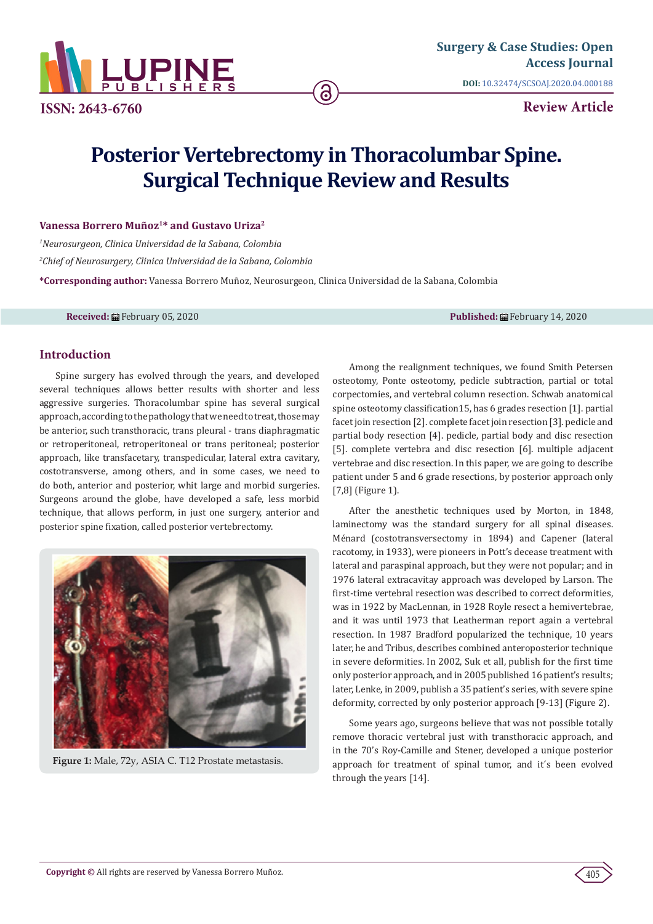

**ISSN: 2643-6760**

**Review Article**

# **Posterior Vertebrectomy in Thoracolumbar Spine. Surgical Technique Review and Results**

## **Vanessa Borrero Muñoz1\* and Gustavo Uriza2**

*1 Neurosurgeon, Clinica Universidad de la Sabana, Colombia*

*2 Chief of Neurosurgery, Clinica Universidad de la Sabana, Colombia*

**\*Corresponding author:** Vanessa Borrero Muñoz, Neurosurgeon, Clinica Universidad de la Sabana, Colombia

**Received:** ■February 05, 2020 **Published:** ■February 14, 2020

## **Introduction**

Spine surgery has evolved through the years, and developed several techniques allows better results with shorter and less aggressive surgeries. Thoracolumbar spine has several surgical approach, according to the pathology that we need to treat, those may be anterior, such transthoracic, trans pleural - trans diaphragmatic or retroperitoneal, retroperitoneal or trans peritoneal; posterior approach, like transfacetary, transpedicular, lateral extra cavitary, costotransverse, among others, and in some cases, we need to do both, anterior and posterior, whit large and morbid surgeries. Surgeons around the globe, have developed a safe, less morbid technique, that allows perform, in just one surgery, anterior and posterior spine fixation, called posterior vertebrectomy.



**Figure 1:** Male, 72y, ASIA C. T12 Prostate metastasis.

Among the realignment techniques, we found Smith Petersen osteotomy, Ponte osteotomy, pedicle subtraction, partial or total corpectomies, and vertebral column resection. Schwab anatomical spine osteotomy classification15, has 6 grades resection [1]. partial facet join resection [2]. complete facet join resection [3]. pedicle and partial body resection [4]. pedicle, partial body and disc resection [5]. complete vertebra and disc resection [6]. multiple adjacent vertebrae and disc resection. In this paper, we are going to describe patient under 5 and 6 grade resections, by posterior approach only [7,8] (Figure 1).

After the anesthetic techniques used by Morton, in 1848, laminectomy was the standard surgery for all spinal diseases. Ménard (costotransversectomy in 1894) and Capener (lateral racotomy, in 1933), were pioneers in Pott's decease treatment with lateral and paraspinal approach, but they were not popular; and in 1976 lateral extracavitay approach was developed by Larson. The first-time vertebral resection was described to correct deformities, was in 1922 by MacLennan, in 1928 Royle resect a hemivertebrae, and it was until 1973 that Leatherman report again a vertebral resection. In 1987 Bradford popularized the technique, 10 years later, he and Tribus, describes combined anteroposterior technique in severe deformities. In 2002, Suk et all, publish for the first time only posterior approach, and in 2005 published 16 patient's results; later, Lenke, in 2009, publish a 35 patient's series, with severe spine deformity, corrected by only posterior approach [9-13] (Figure 2).

Some years ago, surgeons believe that was not possible totally remove thoracic vertebral just with transthoracic approach, and in the 70's Roy-Camille and Stener, developed a unique posterior approach for treatment of spinal tumor, and it´s been evolved through the years [14].

405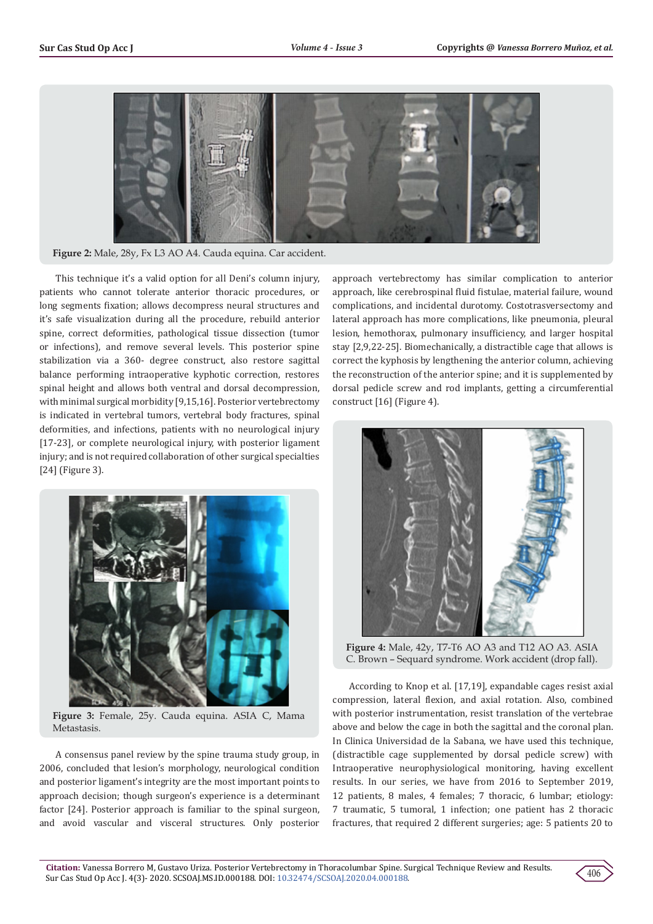

**Figure 2:** Male, 28y, Fx L3 AO A4. Cauda equina. Car accident.

This technique it's a valid option for all Deni's column injury, patients who cannot tolerate anterior thoracic procedures, or long segments fixation; allows decompress neural structures and it's safe visualization during all the procedure, rebuild anterior spine, correct deformities, pathological tissue dissection (tumor or infections), and remove several levels. This posterior spine stabilization via a 360- degree construct, also restore sagittal balance performing intraoperative kyphotic correction, restores spinal height and allows both ventral and dorsal decompression, with minimal surgical morbidity [9,15,16]. Posterior vertebrectomy is indicated in vertebral tumors, vertebral body fractures, spinal deformities, and infections, patients with no neurological injury [17-23], or complete neurological injury, with posterior ligament injury; and is not required collaboration of other surgical specialties [24] (Figure 3).



**Figure 3:** Female, 25y. Cauda equina. ASIA C, Mama Metastasis.

A consensus panel review by the spine trauma study group, in 2006, concluded that lesion's morphology, neurological condition and posterior ligament's integrity are the most important points to approach decision; though surgeon's experience is a determinant factor [24]. Posterior approach is familiar to the spinal surgeon, and avoid vascular and visceral structures. Only posterior approach vertebrectomy has similar complication to anterior approach, like cerebrospinal fluid fistulae, material failure, wound complications, and incidental durotomy. Costotrasversectomy and lateral approach has more complications, like pneumonia, pleural lesion, hemothorax, pulmonary insufficiency, and larger hospital stay [2,9,22-25]. Biomechanically, a distractible cage that allows is correct the kyphosis by lengthening the anterior column, achieving the reconstruction of the anterior spine; and it is supplemented by dorsal pedicle screw and rod implants, getting a circumferential construct [16] (Figure 4).



**Figure 4:** Male, 42y, T7-T6 AO A3 and T12 AO A3. ASIA C. Brown – Sequard syndrome. Work accident (drop fall).

According to Knop et al. [17,19], expandable cages resist axial compression, lateral flexion, and axial rotation. Also, combined with posterior instrumentation, resist translation of the vertebrae above and below the cage in both the sagittal and the coronal plan. In Clinica Universidad de la Sabana, we have used this technique, (distractible cage supplemented by dorsal pedicle screw) with Intraoperative neurophysiological monitoring, having excellent results. In our series, we have from 2016 to September 2019, 12 patients, 8 males, 4 females; 7 thoracic, 6 lumbar; etiology: 7 traumatic, 5 tumoral, 1 infection; one patient has 2 thoracic fractures, that required 2 different surgeries; age: 5 patients 20 to

406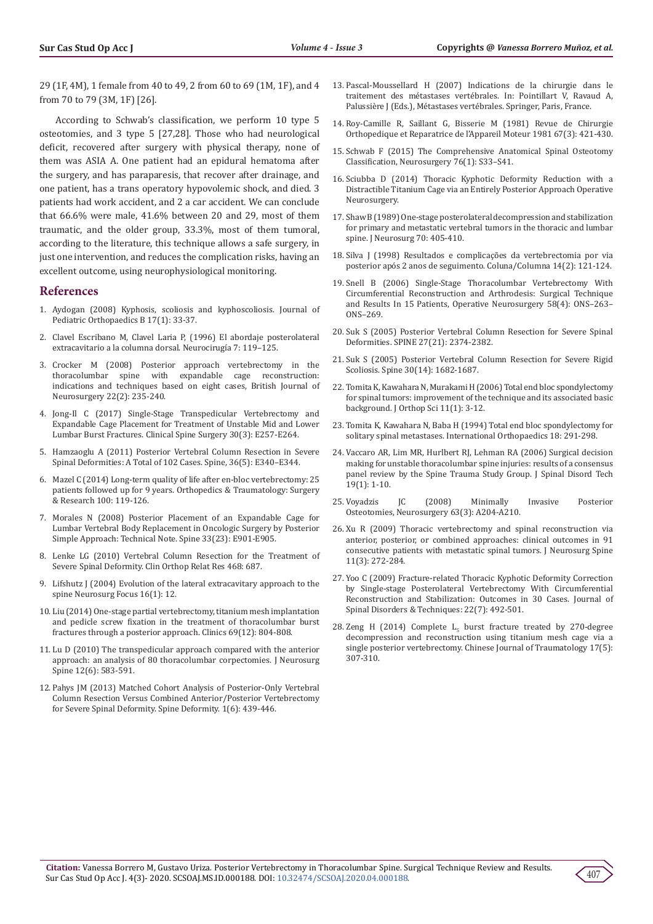29 (1F, 4M), 1 female from 40 to 49, 2 from 60 to 69 (1M, 1F), and 4 from 70 to 79 (3M, 1F) [26].

According to Schwab's classification, we perform 10 type 5 osteotomies, and 3 type 5 [27,28]. Those who had neurological deficit, recovered after surgery with physical therapy, none of them was ASIA A. One patient had an epidural hematoma after the surgery, and has paraparesis, that recover after drainage, and one patient, has a trans operatory hypovolemic shock, and died. 3 patients had work accident, and 2 a car accident. We can conclude that 66.6% were male, 41.6% between 20 and 29, most of them traumatic, and the older group, 33.3%, most of them tumoral, according to the literature, this technique allows a safe surgery, in just one intervention, and reduces the complication risks, having an excellent outcome, using neurophysiological monitoring.

#### **References**

- 1. [Aydogan \(2008\) Kyphosis, scoliosis and kyphoscoliosis. Journal of](https://insights.ovid.com/crossref?an=01202412-200801000-00007)  [Pediatric Orthopaedics B 17\(1\): 33-37.](https://insights.ovid.com/crossref?an=01202412-200801000-00007)
- 2. [Clavel Escribano M, Clavel Laria P, \(1996\) El abordaje posterolateral](https://www.sciencedirect.com/science/article/abs/pii/S1130147396707431)  [extracavitario a la columna dorsal. Neurocirugí](https://www.sciencedirect.com/science/article/abs/pii/S1130147396707431)a 7: 119–125.
- 3. [Crocker M \(2008\) Posterior approach vertebrectomy in the](https://www.tandfonline.com/doi/full/10.1080/02688690701837273)  spine with expandable cage reconstruction: [indications and techniques based on eight cases,](https://www.tandfonline.com/doi/full/10.1080/02688690701837273) British Journal of Neurosurgery [22\(2\): 235-240.](https://www.tandfonline.com/doi/full/10.1080/02688690701837273)
- 4. [Jong-Il C \(2017\) Single-Stage Transpedicular Vertebrectomy and](https://www.ncbi.nlm.nih.gov/pubmed/28323709)  [Expandable Cage Placement for Treatment of Unstable Mid and Lower](https://www.ncbi.nlm.nih.gov/pubmed/28323709)  [Lumbar Burst Fractures. Clinical Spine Surgery 30\(3\): E257-E264.](https://www.ncbi.nlm.nih.gov/pubmed/28323709)
- 5. [Hamzaoglu A \(2011\) Posterior Vertebral Column Resection in Severe](https://www.ncbi.nlm.nih.gov/pubmed/21325930)  [Spinal Deformities: A Total of 102 Cases. Spine, 36\(5\): E340–E344.](https://www.ncbi.nlm.nih.gov/pubmed/21325930)
- 6. [Mazel C \(2014\) Long-term quality of life after en-bloc vertebrectomy: 25](https://www.ncbi.nlm.nih.gov/pubmed/24394919)  [patients followed up for 9 years. Orthopedics & Traumatology: Surgery](https://www.ncbi.nlm.nih.gov/pubmed/24394919)  [& Research 100: 119-126.](https://www.ncbi.nlm.nih.gov/pubmed/24394919)
- 7. [Morales N \(2008\) Posterior Placement of an](https://www.ncbi.nlm.nih.gov/pubmed/18978584) Expandable Cage for Lumbar Vertebral Body Replacement [in Oncologic Surgery by Posterior](https://www.ncbi.nlm.nih.gov/pubmed/18978584)  [Simple Approach: Technical Note. Spine 33\(23\): E901-E905.](https://www.ncbi.nlm.nih.gov/pubmed/18978584)
- 8. [Lenke LG \(2010\) Vertebral Column Resection for the Treatment of](https://www.ncbi.nlm.nih.gov/pubmed/19727995)  [Severe Spinal Deformity. Clin Orthop Relat Res 468: 687.](https://www.ncbi.nlm.nih.gov/pubmed/19727995)
- 9. [Lifshutz J \(2004\) Evolution of the lateral extracavitary approach to the](https://www.ncbi.nlm.nih.gov/pubmed/15264790)  [spine Neurosurg Focus 16\(1\): 12.](https://www.ncbi.nlm.nih.gov/pubmed/15264790)
- 10. [Liu \(2014\) One-stage partial vertebrectomy, titanium mesh implantation](https://www.ncbi.nlm.nih.gov/pubmed/25627991)  [and pedicle screw fixation in the treatment of thoracolumbar burst](https://www.ncbi.nlm.nih.gov/pubmed/25627991)  [fractures through a posterior approach.](https://www.ncbi.nlm.nih.gov/pubmed/25627991) Clinics 69(12): 804-808.
- 11. [Lu D \(2010\) The transpedicular approach compared with the anterior](https://www.ncbi.nlm.nih.gov/pubmed/20515342)  [approach: an analysis of 80 thoracolumbar corpectomies.](https://www.ncbi.nlm.nih.gov/pubmed/20515342) J Neurosurg Spine [12\(6\): 583-591.](https://www.ncbi.nlm.nih.gov/pubmed/20515342)
- 12. [Pahys JM \(2013\) Matched Cohort Analysis of Posterior-Only Vertebral](https://www.ncbi.nlm.nih.gov/pubmed/27927370)  [Column Resection Versus Combined Anterior/Posterior Vertebrectomy](https://www.ncbi.nlm.nih.gov/pubmed/27927370)  [for Severe Spinal Deformity. Spine Deformity. 1\(6\): 439-446.](https://www.ncbi.nlm.nih.gov/pubmed/27927370)
- 13. Pascal-Moussellard H (2007) Indications de la chirurgie dans le traitement des métastases vertébrales. In: Pointillart V, Ravaud A, Palussière J (Eds.), Métastases vertébrales. Springer, Paris, France.
- 14. Roy-Camille R, Saillant G, Bisserie M (1981) Revue de Chirurgie Orthopedique et Reparatrice de l'Appareil Moteur 1981 67(3): 421-430.
- 15. Schwab F (2015) The Comprehensive Anatomical Spinal Osteotomy Classification, Neurosurgery 76(1): S33–S41.
- 16. Sciubba D (2014) Thoracic Kyphotic Deformity Reduction with a Distractible Titanium Cage via an Entirely Posterior Approach Operative Neurosurgery.
- 17. [Shaw B \(1989\) One-stage posterolateral decompression and stabilization](https://www.ncbi.nlm.nih.gov/pubmed/2915247) [for primary and metastatic vertebral tumors in the thoracic and lumbar](https://www.ncbi.nlm.nih.gov/pubmed/2915247) [spine. J Neurosurg 70: 405-410.](https://www.ncbi.nlm.nih.gov/pubmed/2915247)
- 18. Silva J (1998) Resultados e complicações da vertebrectomia por via posterior após 2 anos de seguimento. Coluna/Columna 14(2): 121-124.
- 19. [Snell B \(2006\) Single-Stage Thoracolumbar Vertebrectomy With](https://www.ncbi.nlm.nih.gov/pubmed/16582649) [Circumferential Reconstruction and Arthrodesis: Surgical Technique](https://www.ncbi.nlm.nih.gov/pubmed/16582649) [and Results In 15 Patients, Operative Neurosurgery 58\(4\): ONS–263–](https://www.ncbi.nlm.nih.gov/pubmed/16582649) [ONS–269.](https://www.ncbi.nlm.nih.gov/pubmed/16582649)
- 20. Suk S (2005) Posterior Vertebral Column Resection for Severe Spinal Deformities. SPINE 27(21): 2374-2382.
- 21. Suk S (2005) Posterior Vertebral Column Resection for Severe Rigid Scoliosis. Spine 30(14): 1682-1687.
- 22. [Tomita K, Kawahara N, Murakami H \(2006\) Total end bloc spondylectomy](https://www.ncbi.nlm.nih.gov/pubmed/16437342) [for spinal tumors: improvement of the technique and its associated basic](https://www.ncbi.nlm.nih.gov/pubmed/16437342) [background. J Orthop Sci 11\(1\): 3-12.](https://www.ncbi.nlm.nih.gov/pubmed/16437342)
- 23. [Tomita K, Kawahara N, Baba H \(1994\) Total end bloc spondylectomy for](https://www.ncbi.nlm.nih.gov/pubmed/7852009) [solitary spinal metastases. International Orthopaedics 18: 291-298.](https://www.ncbi.nlm.nih.gov/pubmed/7852009)
- 24. [Vaccaro AR, Lim MR, Hurlbert RJ, Lehman RA \(2006\) Surgical decision](https://www.ncbi.nlm.nih.gov/pubmed/16462211) [making for unstable thoracolumbar spine injuries: results of a consensus](https://www.ncbi.nlm.nih.gov/pubmed/16462211) [panel review by the Spine Trauma Study Group. J Spinal Disord Tech](https://www.ncbi.nlm.nih.gov/pubmed/16462211) [19\(1\): 1-10.](https://www.ncbi.nlm.nih.gov/pubmed/16462211)
- 25. [Voyadzis JC \(2008\) Minimally Invasive Posterior](https://www.ncbi.nlm.nih.gov/pubmed/18812927) Osteotomies, Neurosurgery [63\(3\): A204-A210.](https://www.ncbi.nlm.nih.gov/pubmed/18812927)
- 26. [Xu R \(2009\) Thoracic vertebrectomy and spinal reconstruction via](https://www.ncbi.nlm.nih.gov/pubmed/19769508) [anterior, posterior, or combined approaches: clinical outcomes in 91](https://www.ncbi.nlm.nih.gov/pubmed/19769508) [consecutive patients with metastatic spinal tumors. J Neurosurg Spine](https://www.ncbi.nlm.nih.gov/pubmed/19769508) [11\(3\): 272-284.](https://www.ncbi.nlm.nih.gov/pubmed/19769508)
- 27. [Yoo C \(2009\) Fracture-related Thoracic Kyphotic Deformity Correction](https://www.ncbi.nlm.nih.gov/pubmed/20075812) [by Single-stage Posterolateral Vertebrectomy With Circumferential](https://www.ncbi.nlm.nih.gov/pubmed/20075812) [Reconstruction and Stabilization: Outcomes in 30 Cases. Journal of](https://www.ncbi.nlm.nih.gov/pubmed/20075812) [Spinal Disorders & Techniques:](https://www.ncbi.nlm.nih.gov/pubmed/20075812) 22(7): 492-501.
- 28. Zeng H (2014) Complete  $L_5$  [burst fracture treated by 270-degree](https://www.sciencedirect.com/science/article/pii/S1008127515300420) [decompression and reconstruction using titanium mesh cage via a](https://www.sciencedirect.com/science/article/pii/S1008127515300420) [single posterior vertebrectomy. Chinese Journal of Traumatology 17\(5\):](https://www.sciencedirect.com/science/article/pii/S1008127515300420) [307-310.](https://www.sciencedirect.com/science/article/pii/S1008127515300420)